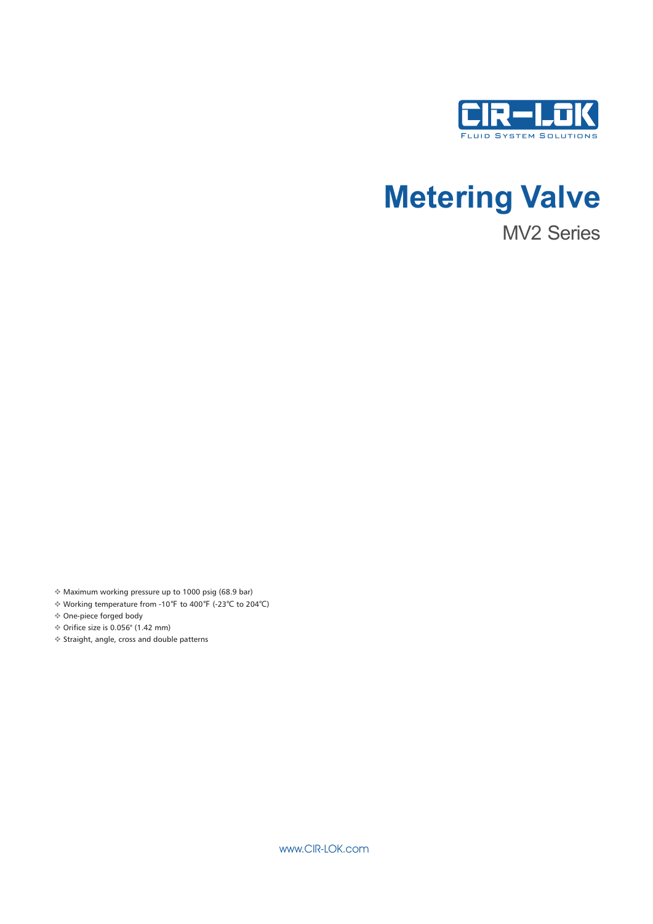

# **Metering Valve**

MV2 Series

Maximum working pressure up to 1000 psig (68.9 bar) v

Working temperature from -10℉ to 400℉ (-23℃ to 204℃) v

One-piece forged body v

 Orifice size is 0.056'' (1.42 mm) v Straight, angle, cross and double patterns v

www.CIR-LOK.com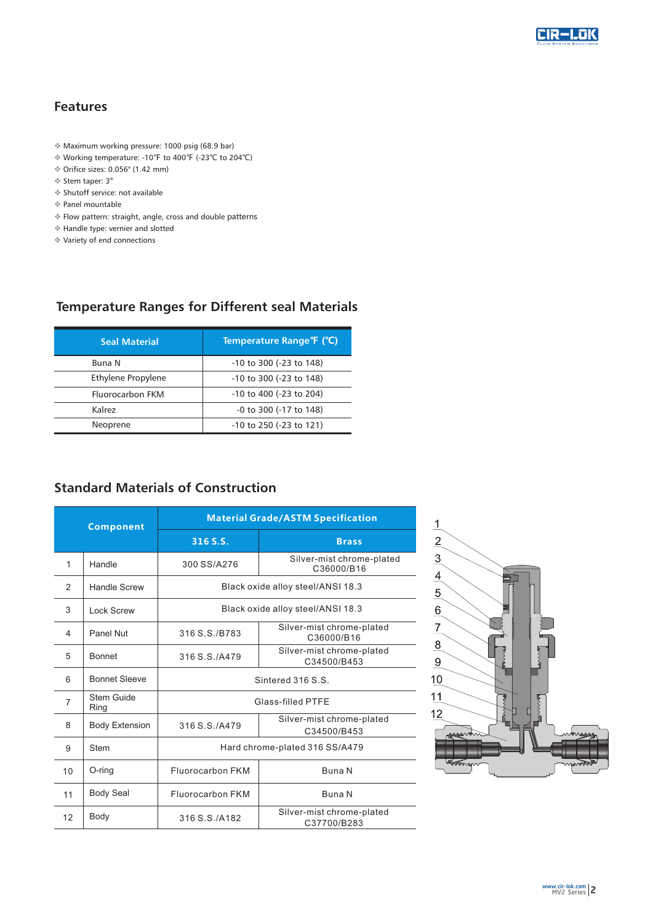

## **Features**

- v Maximum working pressure: 1000 psig (68.9 bar)
- v Working temperature: -10℉ to 400℉ (-23℃ to 204℃)
- v Orifice sizes: 0.056'' (1.42 mm)
- v Stem taper: 3°
- v Shutoff service: not available
- v Panel mountable
- v Flow pattern: straight, angle, cross and double patterns
- v Handle type: vernier and slotted
- v Variety of end connections

### **Temperature Ranges for Different seal Materials**

| <b>Seal Material</b>    | Temperature Range <sup>o</sup> F (°C) |
|-------------------------|---------------------------------------|
| <b>Buna N</b>           | -10 to 300 (-23 to 148)               |
| Ethylene Propylene      | -10 to 300 (-23 to 148)               |
| <b>Fluorocarbon FKM</b> | $-10$ to $400$ ( $-23$ to $204$ )     |
| Kalrez                  | -0 to 300 (-17 to 148)                |
| Neoprene                | $-10$ to 250 ( $-23$ to 121)          |

## **Standard Materials of Construction**

| <b>Component</b> |                       | <b>Material Grade/ASTM Specification</b>                  |                                          |  |  |  |  |
|------------------|-----------------------|-----------------------------------------------------------|------------------------------------------|--|--|--|--|
|                  |                       | 316 S.S.                                                  | <b>Brass</b>                             |  |  |  |  |
| 1                | Handle                | 300 SS/A276                                               | Silver-mist chrome-plated<br>C36000/B16  |  |  |  |  |
| 2                | Handle Screw          |                                                           | Black oxide alloy steel/ANSI 18.3        |  |  |  |  |
| 3                | Lock Screw            |                                                           | Black oxide alloy steel/ANSI 18.3        |  |  |  |  |
| 4                | Panel Nut             | 316 S.S./B783                                             | Silver-mist chrome-plated<br>C36000/B16  |  |  |  |  |
| 5                | <b>Bonnet</b>         | 316 S.S./A479                                             | Silver-mist chrome-plated<br>C34500/B453 |  |  |  |  |
| 6                | <b>Bonnet Sleeve</b>  | Sintered 316 S.S.                                         |                                          |  |  |  |  |
| 7                | Stem Guide<br>Ring    | Glass-filled PTFE                                         |                                          |  |  |  |  |
| 8                | <b>Body Extension</b> | Silver-mist chrome-plated<br>316 S.S./A479<br>C34500/B453 |                                          |  |  |  |  |
| 9                | <b>Stem</b>           | Hard chrome-plated 316 SS/A479                            |                                          |  |  |  |  |
| 10               | O-ring                | Fluorocarbon FKM                                          | Buna N                                   |  |  |  |  |
| 11               | <b>Body Seal</b>      | Fluorocarbon FKM                                          | Buna N                                   |  |  |  |  |
| 12               | Body                  | 316 S.S. / A 182                                          | Silver-mist chrome-plated<br>C37700/B283 |  |  |  |  |

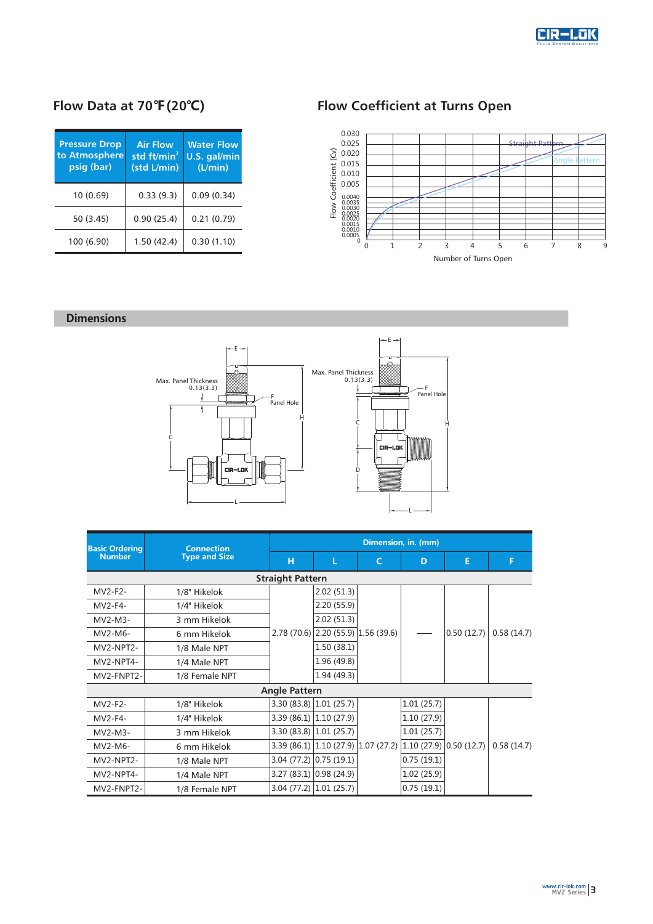

# **Flow Data at 70℉(20℃)**

| <b>Pressure Drop</b><br>to Atmosphere<br>psig (bar) | <b>Air Flow</b><br>std ft/min <sup>3</sup><br>(std L/min) | <b>Water Flow</b><br>U.S. gal/min<br>(L/min) |  |  |
|-----------------------------------------------------|-----------------------------------------------------------|----------------------------------------------|--|--|
| 10(0.69)                                            | 0.33(9.3)                                                 | 0.09(0.34)                                   |  |  |
| 50 (3.45)                                           | 0.90(25.4)                                                | 0.21(0.79)                                   |  |  |
| 100 (6.90)                                          | 1.50(42.4)                                                | 0.30(1.10)                                   |  |  |

# **Flow Coefficient at Turns Open**



#### **Dimensions**



| <b>Basic Ordering</b>   | <b>Connection</b>    | Dimension, in. (mm)  |                                     |            |            |                       |            |  |  |  |
|-------------------------|----------------------|----------------------|-------------------------------------|------------|------------|-----------------------|------------|--|--|--|
| <b>Number</b>           | <b>Type and Size</b> | н                    | L                                   | C          | D          | E                     | F          |  |  |  |
| <b>Straight Pattern</b> |                      |                      |                                     |            |            |                       |            |  |  |  |
| MV2-F2-                 | 1/8" Hikelok         |                      | 2.02(51.3)                          |            |            |                       |            |  |  |  |
| MV2-F4-                 | 1/4" Hikelok         |                      | 2.20(55.9)                          |            |            |                       |            |  |  |  |
| $MV2-M3-$               | 3 mm Hikelok         |                      | 2.02(51.3)                          |            |            |                       |            |  |  |  |
| MV2-M6-                 | 6 mm Hikelok         |                      | 2.78 (70.6) 2.20 (55.9) 1.56 (39.6) |            |            | 0.50(12.7)            | 0.58(14.7) |  |  |  |
| MV2-NPT2-               | 1/8 Male NPT         |                      | 1.50(38.1)                          |            |            |                       |            |  |  |  |
| MV2-NPT4-               | 1/4 Male NPT         |                      | 1.96 (49.8)                         |            |            |                       |            |  |  |  |
| MV2-FNPT2-              | 1/8 Female NPT       |                      | 1.94(49.3)                          |            |            |                       |            |  |  |  |
|                         |                      | <b>Angle Pattern</b> |                                     |            |            |                       |            |  |  |  |
| MV2-F2-                 | 1/8" Hikelok         |                      | $3.30(83.8)$ 1.01 (25.7)            |            | 1.01(25.7) |                       |            |  |  |  |
| $MV2-F4-$               | 1/4" Hikelok         |                      | $3.39(86.1)$ 1.10 (27.9)            |            | 1.10(27.9) |                       |            |  |  |  |
| $MV2-M3-$               | 3 mm Hikelok         |                      | $3.30(83.8)$ 1.01 (25.7)            |            | 1.01(25.7) |                       |            |  |  |  |
| MV2-M6-                 | 6 mm Hikelok         |                      | $3.39(86.1)$ 1.10 (27.9)            | 1.07(27.2) |            | 1.10(27.9) 0.50(12.7) | 0.58(14.7) |  |  |  |
| MV2-NPT2-               | 1/8 Male NPT         |                      | $3.04$ (77.2) 0.75 (19.1)           |            | 0.75(19.1) |                       |            |  |  |  |
| MV2-NPT4-               | 1/4 Male NPT         |                      | 3.27(83.1) 0.98(24.9)               |            | 1.02(25.9) |                       |            |  |  |  |
| MV2-FNPT2-              | 1/8 Female NPT       |                      | $3.04(77.2)$ 1.01 (25.7)            |            | 0.75(19.1) |                       |            |  |  |  |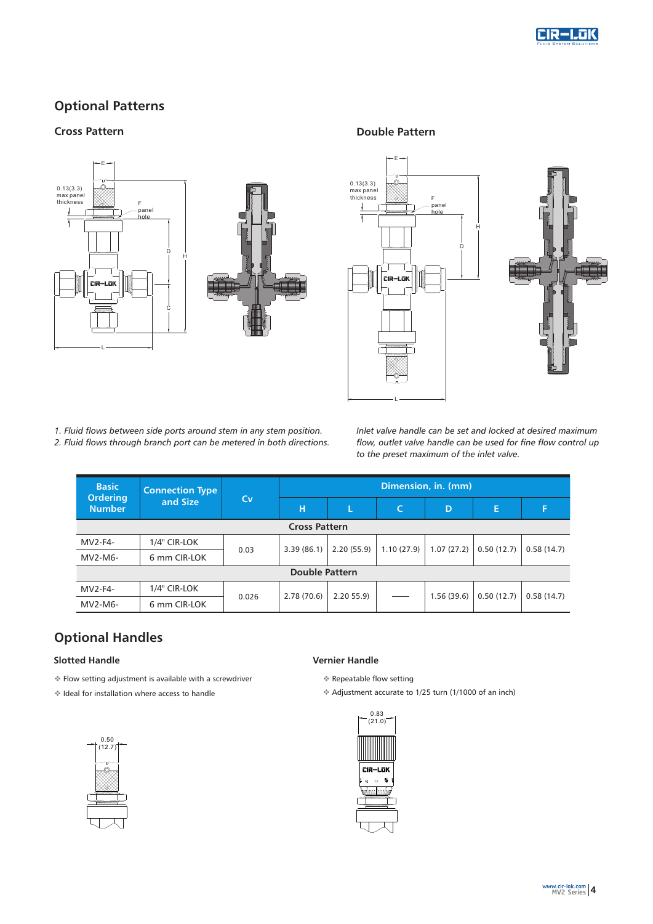

## **Optional Patterns**

#### **Cross Pattern Double Pattern**





*1. Fluid flows between side ports around stem in any stem position. 2. Fluid flows through branch port can be metered in both directions.*  *Inlet valve handle can be set and locked at desired maximum flow, outlet valve handle can be used for fine flow control up to the preset maximum of the inlet valve.*

| <b>Basic</b>                     | <b>Connection Type</b><br>and Size | Cv    | Dimension, in. (mm) |            |            |            |            |            |
|----------------------------------|------------------------------------|-------|---------------------|------------|------------|------------|------------|------------|
| <b>Ordering</b><br><b>Number</b> |                                    |       | н                   |            | C          | D          | Е          | F          |
| <b>Cross Pattern</b>             |                                    |       |                     |            |            |            |            |            |
| $MV2-F4-$                        | 1/4" CIR-LOK                       |       | 3.39(86.1)          | 2.20(55.9) | 1.10(27.9) | 1.07(27.2) | 0.50(12.7) | 0.58(14.7) |
| MV2-M6-                          | 6 mm CIR-LOK                       | 0.03  |                     |            |            |            |            |            |
| <b>Double Pattern</b>            |                                    |       |                     |            |            |            |            |            |
| MV2-F4-                          | 1/4" CIR-LOK                       | 0.026 | 2.78(70.6)          | 2.2055.9   |            | 1.56(39.6) | 0.50(12.7) | 0.58(14.7) |
| MV2-M6-                          | 6 mm CIR-LOK                       |       |                     |            |            |            |            |            |

# **Optional Handles**

#### **Slotted Handle**

- vFlow setting adjustment is available with a screwdriver
- $*$  Ideal for installation where access to handle



#### **Vernier Handle**

- v Repeatable flow setting
- v Adjustment accurate to 1/25 turn (1/1000 of an inch)